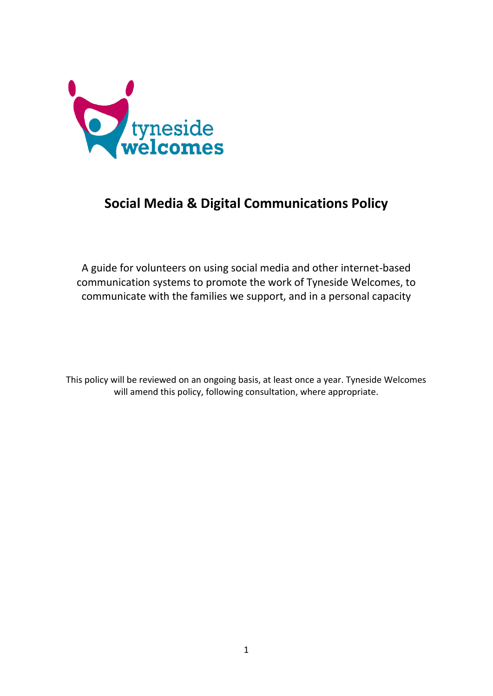

# **Social Media & Digital Communications Policy**

A guide for volunteers on using social media and other internet-based communication systems to promote the work of Tyneside Welcomes, to communicate with the families we support, and in a personal capacity

This policy will be reviewed on an ongoing basis, at least once a year. Tyneside Welcomes will amend this policy, following consultation, where appropriate.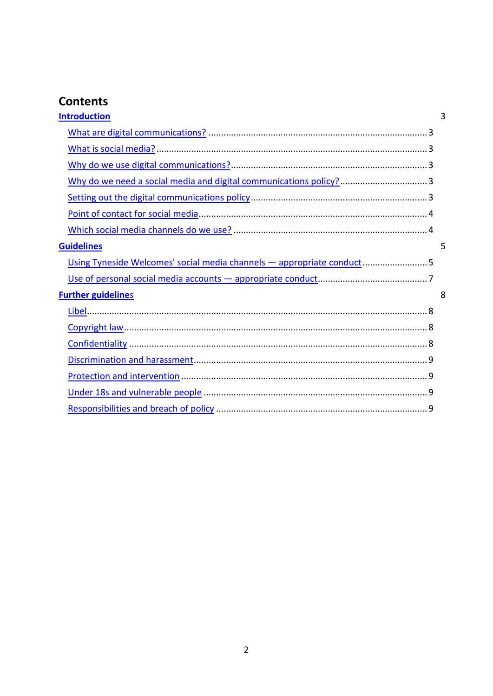# **Contents**

| <b>Introduction</b>                                                   | 3 |
|-----------------------------------------------------------------------|---|
|                                                                       |   |
|                                                                       |   |
|                                                                       |   |
| Why do we need a social media and digital communications policy?  3   |   |
|                                                                       |   |
|                                                                       |   |
|                                                                       |   |
| <b>Guidelines</b>                                                     | 5 |
| Using Tyneside Welcomes' social media channels - appropriate conduct5 |   |
|                                                                       |   |
| <b>Further guidelines</b>                                             | 8 |
|                                                                       |   |
|                                                                       |   |
|                                                                       |   |
|                                                                       |   |
|                                                                       |   |
|                                                                       |   |
|                                                                       |   |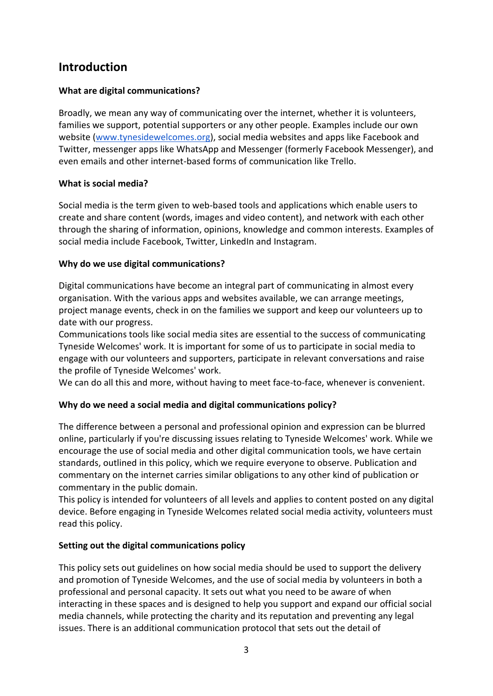# <span id="page-2-0"></span>**Introduction**

# <span id="page-2-1"></span>**What are digital communications?**

Broadly, we mean any way of communicating over the internet, whether it is volunteers, families we support, potential supporters or any other people. Examples include our own website (www.tynesidewelcomes.org), social media websites and apps like Facebook and Twitter, messenger apps like WhatsApp and Messenger (formerly Facebook Messenger), and even emails and other internet-based forms of communication like Trello.

### <span id="page-2-2"></span>**What is social media?**

Social media is the term given to web-based tools and applications which enable users to create and share content (words, images and video content), and network with each other through the sharing of information, opinions, knowledge and common interests. Examples of social media include Facebook, Twitter, LinkedIn and Instagram.

# <span id="page-2-3"></span>**Why do we use digital communications?**

Digital communications have become an integral part of communicating in almost every organisation. With the various apps and websites available, we can arrange meetings, project manage events, check in on the families we support and keep our volunteers up to date with our progress.

Communications tools like social media sites are essential to the success of communicating Tyneside Welcomes' work. It is important for some of us to participate in social media to engage with our volunteers and supporters, participate in relevant conversations and raise the profile of Tyneside Welcomes' work.

We can do all this and more, without having to meet face-to-face, whenever is convenient.

# <span id="page-2-4"></span>**Why do we need a social media and digital communications policy?**

The difference between a personal and professional opinion and expression can be blurred online, particularly if you're discussing issues relating to Tyneside Welcomes' work. While we encourage the use of social media and other digital communication tools, we have certain standards, outlined in this policy, which we require everyone to observe. Publication and commentary on the internet carries similar obligations to any other kind of publication or commentary in the public domain.

This policy is intended for volunteers of all levels and applies to content posted on any digital device. Before engaging in Tyneside Welcomes related social media activity, volunteers must read this policy.

### <span id="page-2-5"></span>**Setting out the digital communications policy**

This policy sets out guidelines on how social media should be used to support the delivery and promotion of Tyneside Welcomes, and the use of social media by volunteers in both a professional and personal capacity. It sets out what you need to be aware of when interacting in these spaces and is designed to help you support and expand our official social media channels, while protecting the charity and its reputation and preventing any legal issues. There is an additional communication protocol that sets out the detail of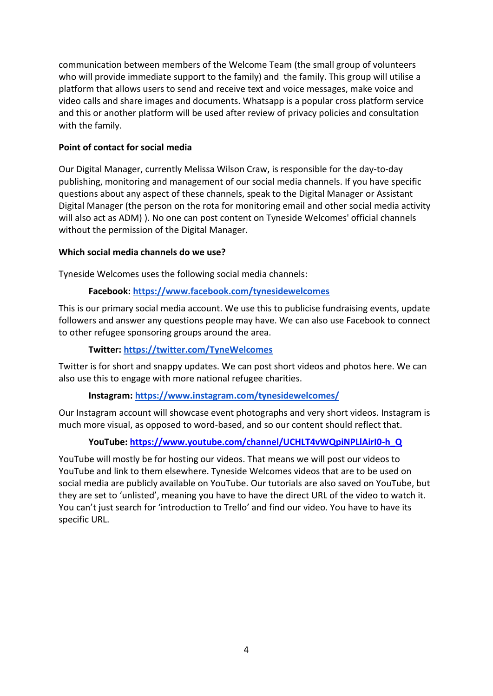communication between members of the Welcome Team (the small group of volunteers who will provide immediate support to the family) and the family. This group will utilise a platform that allows users to send and receive text and voice messages, make voice and video calls and share images and documents. Whatsapp is a popular cross platform service and this or another platform will be used after review of privacy policies and consultation with the family.

#### <span id="page-3-0"></span>**Point of contact for social media**

Our Digital Manager, currently Melissa Wilson Craw, is responsible for the day-to-day publishing, monitoring and management of our social media channels. If you have specific questions about any aspect of these channels, speak to the Digital Manager or Assistant Digital Manager (the person on the rota for monitoring email and other social media activity will also act as ADM) ). No one can post content on Tyneside Welcomes' official channels without the permission of the Digital Manager.

#### <span id="page-3-1"></span>**Which social media channels do we use?**

Tyneside Welcomes uses the following social media channels:

#### **Facebook: https://www.facebook.com/tynesidewelcomes**

This is our primary social media account. We use this to publicise fundraising events, update followers and answer any questions people may have. We can also use Facebook to connect to other refugee sponsoring groups around the area.

#### **Twitter: https://twitter.com/TyneWelcomes**

Twitter is for short and snappy updates. We can post short videos and photos here. We can also use this to engage with more national refugee charities.

#### **Instagram: https://www.instagram.com/tynesidewelcomes/**

Our Instagram account will showcase event photographs and very short videos. Instagram is much more visual, as opposed to word-based, and so our content should reflect that.

### **YouTube: [https://www.youtube.com/channel/UCHLT4vWQpiNPLlAirI0-h\\_Q](about:blank)**

YouTube will mostly be for hosting our videos. That means we will post our videos to YouTube and link to them elsewhere. Tyneside Welcomes videos that are to be used on social media are publicly available on YouTube. Our tutorials are also saved on YouTube, but they are set to 'unlisted', meaning you have to have the direct URL of the video to watch it. You can't just search for 'introduction to Trello' and find our video. You have to have its specific URL.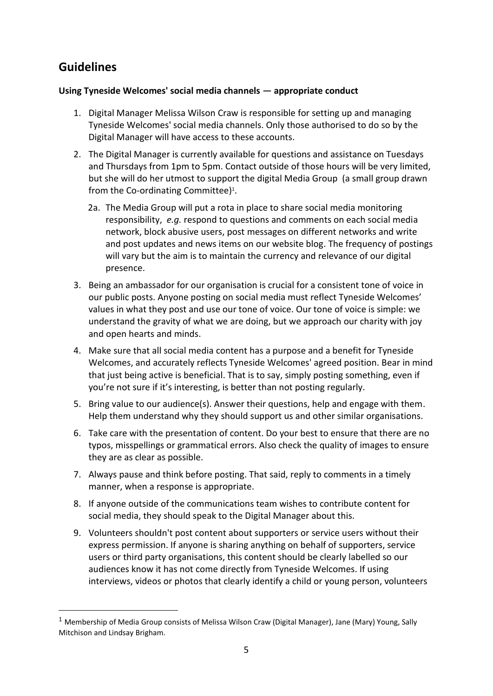# <span id="page-4-0"></span>**Guidelines**

## <span id="page-4-1"></span>**Using Tyneside Welcomes' social media channels — appropriate conduct**

- 1. Digital Manager Melissa Wilson Craw is responsible for setting up and managing Tyneside Welcomes' social media channels. Only those authorised to do so by the Digital Manager will have access to these accounts.
- 2. The Digital Manager is currently available for questions and assistance on Tuesdays and Thursdays from 1pm to 5pm. Contact outside of those hours will be very limited, but she will do her utmost to support the digital Media Group (a small group drawn from the Co-ordinating Committee) $^1$ .
	- 2a. The Media Group will put a rota in place to share social media monitoring responsibility, *e.g.* respond to questions and comments on each social media network, block abusive users, post messages on different networks and write and post updates and news items on our website blog. The frequency of postings will vary but the aim is to maintain the currency and relevance of our digital presence.
- 3. Being an ambassador for our organisation is crucial for a consistent tone of voice in our public posts. Anyone posting on social media must reflect Tyneside Welcomes' values in what they post and use our tone of voice. Our tone of voice is simple: we understand the gravity of what we are doing, but we approach our charity with joy and open hearts and minds.
- 4. Make sure that all social media content has a purpose and a benefit for Tyneside Welcomes, and accurately reflects Tyneside Welcomes' agreed position. Bear in mind that just being active is beneficial. That is to say, simply posting something, even if you're not sure if it's interesting, is better than not posting regularly.
- 5. Bring value to our audience(s). Answer their questions, help and engage with them. Help them understand why they should support us and other similar organisations.
- 6. Take care with the presentation of content. Do your best to ensure that there are no typos, misspellings or grammatical errors. Also check the quality of images to ensure they are as clear as possible.
- 7. Always pause and think before posting. That said, reply to comments in a timely manner, when a response is appropriate.
- 8. If anyone outside of the communications team wishes to contribute content for social media, they should speak to the Digital Manager about this.
- 9. Volunteers shouldn't post content about supporters or service users without their express permission. If anyone is sharing anything on behalf of supporters, service users or third party organisations, this content should be clearly labelled so our audiences know it has not come directly from Tyneside Welcomes. If using interviews, videos or photos that clearly identify a child or young person, volunteers

<sup>&</sup>lt;sup>1</sup> Membership of Media Group consists of Melissa Wilson Craw (Digital Manager), Jane (Mary) Young, Sally Mitchison and Lindsay Brigham.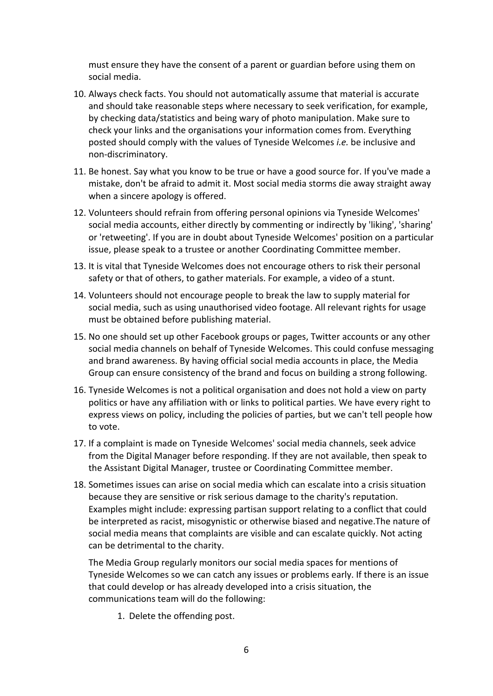must ensure they have the consent of a parent or guardian before using them on social media.

- 10. Always check facts. You should not automatically assume that material is accurate and should take reasonable steps where necessary to seek verification, for example, by checking data/statistics and being wary of photo manipulation. Make sure to check your links and the organisations your information comes from. Everything posted should comply with the values of Tyneside Welcomes *i.e.* be inclusive and non-discriminatory.
- 11. Be honest. Say what you know to be true or have a good source for. If you've made a mistake, don't be afraid to admit it. Most social media storms die away straight away when a sincere apology is offered.
- 12. Volunteers should refrain from offering personal opinions via Tyneside Welcomes' social media accounts, either directly by commenting or indirectly by 'liking', 'sharing' or 'retweeting'. If you are in doubt about Tyneside Welcomes' position on a particular issue, please speak to a trustee or another Coordinating Committee member.
- 13. It is vital that Tyneside Welcomes does not encourage others to risk their personal safety or that of others, to gather materials. For example, a video of a stunt.
- 14. Volunteers should not encourage people to break the law to supply material for social media, such as using unauthorised video footage. All relevant rights for usage must be obtained before publishing material.
- 15. No one should set up other Facebook groups or pages, Twitter accounts or any other social media channels on behalf of Tyneside Welcomes. This could confuse messaging and brand awareness. By having official social media accounts in place, the Media Group can ensure consistency of the brand and focus on building a strong following.
- 16. Tyneside Welcomes is not a political organisation and does not hold a view on party politics or have any affiliation with or links to political parties. We have every right to express views on policy, including the policies of parties, but we can't tell people how to vote.
- 17. If a complaint is made on Tyneside Welcomes' social media channels, seek advice from the Digital Manager before responding. If they are not available, then speak to the Assistant Digital Manager, trustee or Coordinating Committee member.
- 18. Sometimes issues can arise on social media which can escalate into a crisis situation because they are sensitive or risk serious damage to the charity's reputation. Examples might include: expressing partisan support relating to a conflict that could be interpreted as racist, misogynistic or otherwise biased and negative.The nature of social media means that complaints are visible and can escalate quickly. Not acting can be detrimental to the charity.

The Media Group regularly monitors our social media spaces for mentions of Tyneside Welcomes so we can catch any issues or problems early. If there is an issue that could develop or has already developed into a crisis situation, the communications team will do the following:

1. Delete the offending post.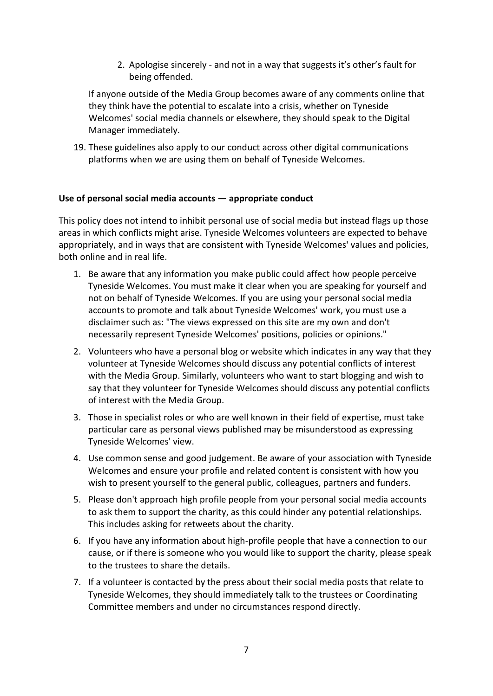2. Apologise sincerely - and not in a way that suggests it's other's fault for being offended.

If anyone outside of the Media Group becomes aware of any comments online that they think have the potential to escalate into a crisis, whether on Tyneside Welcomes' social media channels or elsewhere, they should speak to the Digital Manager immediately.

19. These guidelines also apply to our conduct across other digital communications platforms when we are using them on behalf of Tyneside Welcomes.

#### <span id="page-6-0"></span>**Use of personal social media accounts — appropriate conduct**

This policy does not intend to inhibit personal use of social media but instead flags up those areas in which conflicts might arise. Tyneside Welcomes volunteers are expected to behave appropriately, and in ways that are consistent with Tyneside Welcomes' values and policies, both online and in real life.

- 1. Be aware that any information you make public could affect how people perceive Tyneside Welcomes. You must make it clear when you are speaking for yourself and not on behalf of Tyneside Welcomes. If you are using your personal social media accounts to promote and talk about Tyneside Welcomes' work, you must use a disclaimer such as: "The views expressed on this site are my own and don't necessarily represent Tyneside Welcomes' positions, policies or opinions."
- 2. Volunteers who have a personal blog or website which indicates in any way that they volunteer at Tyneside Welcomes should discuss any potential conflicts of interest with the Media Group. Similarly, volunteers who want to start blogging and wish to say that they volunteer for Tyneside Welcomes should discuss any potential conflicts of interest with the Media Group.
- 3. Those in specialist roles or who are well known in their field of expertise, must take particular care as personal views published may be misunderstood as expressing Tyneside Welcomes' view.
- 4. Use common sense and good judgement. Be aware of your association with Tyneside Welcomes and ensure your profile and related content is consistent with how you wish to present yourself to the general public, colleagues, partners and funders.
- 5. Please don't approach high profile people from your personal social media accounts to ask them to support the charity, as this could hinder any potential relationships. This includes asking for retweets about the charity.
- 6. If you have any information about high-profile people that have a connection to our cause, or if there is someone who you would like to support the charity, please speak to the trustees to share the details.
- 7. If a volunteer is contacted by the press about their social media posts that relate to Tyneside Welcomes, they should immediately talk to the trustees or Coordinating Committee members and under no circumstances respond directly.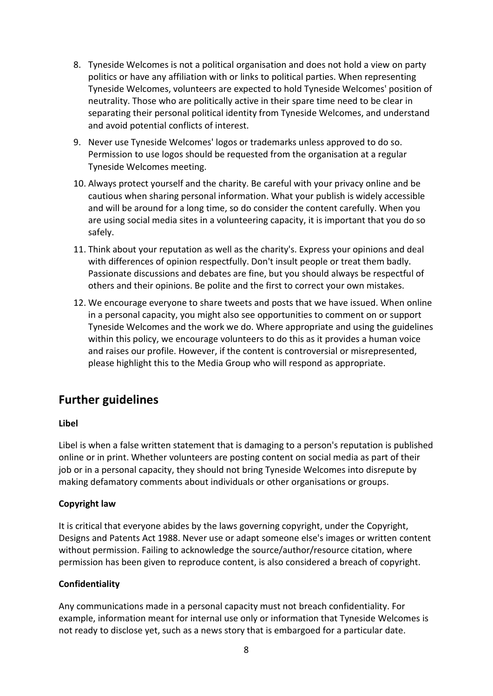- 8. Tyneside Welcomes is not a political organisation and does not hold a view on party politics or have any affiliation with or links to political parties. When representing Tyneside Welcomes, volunteers are expected to hold Tyneside Welcomes' position of neutrality. Those who are politically active in their spare time need to be clear in separating their personal political identity from Tyneside Welcomes, and understand and avoid potential conflicts of interest.
- 9. Never use Tyneside Welcomes' logos or trademarks unless approved to do so. Permission to use logos should be requested from the organisation at a regular Tyneside Welcomes meeting.
- 10. Always protect yourself and the charity. Be careful with your privacy online and be cautious when sharing personal information. What your publish is widely accessible and will be around for a long time, so do consider the content carefully. When you are using social media sites in a volunteering capacity, it is important that you do so safely.
- 11. Think about your reputation as well as the charity's. Express your opinions and deal with differences of opinion respectfully. Don't insult people or treat them badly. Passionate discussions and debates are fine, but you should always be respectful of others and their opinions. Be polite and the first to correct your own mistakes.
- 12. We encourage everyone to share tweets and posts that we have issued. When online in a personal capacity, you might also see opportunities to comment on or support Tyneside Welcomes and the work we do. Where appropriate and using the guidelines within this policy, we encourage volunteers to do this as it provides a human voice and raises our profile. However, if the content is controversial or misrepresented, please highlight this to the Media Group who will respond as appropriate.

# <span id="page-7-0"></span>**Further guidelines**

### <span id="page-7-1"></span>**Libel**

Libel is when a false written statement that is damaging to a person's reputation is published online or in print. Whether volunteers are posting content on social media as part of their job or in a personal capacity, they should not bring Tyneside Welcomes into disrepute by making defamatory comments about individuals or other organisations or groups.

### <span id="page-7-2"></span>**Copyright law**

It is critical that everyone abides by the laws governing copyright, under the Copyright, Designs and Patents Act 1988. Never use or adapt someone else's images or written content without permission. Failing to acknowledge the source/author/resource citation, where permission has been given to reproduce content, is also considered a breach of copyright.

### <span id="page-7-3"></span>**Confidentiality**

Any communications made in a personal capacity must not breach confidentiality. For example, information meant for internal use only or information that Tyneside Welcomes is not ready to disclose yet, such as a news story that is embargoed for a particular date.